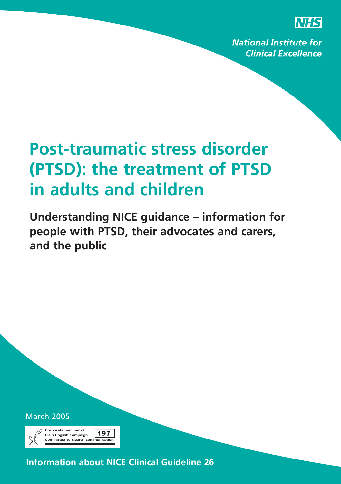

**National Institute for Clinical Excellence** 

# **Post-traumatic stress disorder (PTSD): the treatment of PTSD in adults and children**

**Understanding NICE guidance – information for people with PTSD, their advocates and carers, and the public**

March 2005



**Information about NICE Clinical Guideline 26**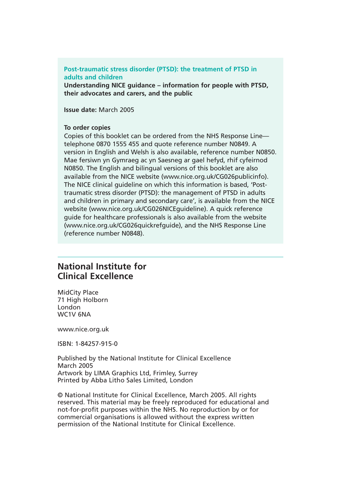#### **Post-traumatic stress disorder (PTSD): the treatment of PTSD in adults and children**

**Understanding NICE guidance – information for people with PTSD, their advocates and carers, and the public**

**Issue date:** March 2005

#### **To order copies**

Copies of this booklet can be ordered from the NHS Response Line telephone 0870 1555 455 and quote reference number N0849. A version in English and Welsh is also available, reference number N0850. Mae fersiwn yn Gymraeg ac yn Saesneg ar gael hefyd, rhif cyfeirnod N0850. The English and bilingual versions of this booklet are also available from the NICE website (www.nice.org.uk/CG026publicinfo). The NICE clinical guideline on which this information is based, 'Posttraumatic stress disorder (PTSD): the management of PTSD in adults and children in primary and secondary care', is available from the NICE website (www.nice.org.uk/CG026NICEguideline). A quick reference guide for healthcare professionals is also available from the website (www.nice.org.uk/CG026quickrefguide), and the NHS Response Line (reference number N0848).

#### **National Institute for Clinical Excellence**

MidCity Place 71 High Holborn London WC1V 6NA

www.nice.org.uk

ISBN: 1-84257-915-0

Published by the National Institute for Clinical Excellence March 2005 Artwork by LIMA Graphics Ltd, Frimley, Surrey Printed by Abba Litho Sales Limited, London

© National Institute for Clinical Excellence, March 2005. All rights reserved. This material may be freely reproduced for educational and not-for-profit purposes within the NHS. No reproduction by or for commercial organisations is allowed without the express written permission of the National Institute for Clinical Excellence.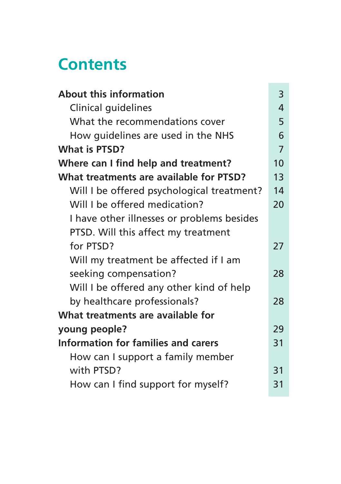## **Contents**

| <b>About this information</b>              | 3  |
|--------------------------------------------|----|
| Clinical guidelines                        | 4  |
| What the recommendations cover             | 5  |
| How guidelines are used in the NHS         | 6  |
| <b>What is PTSD?</b>                       | 7  |
| Where can I find help and treatment?       | 10 |
| What treatments are available for PTSD?    | 13 |
| Will I be offered psychological treatment? | 14 |
| Will I be offered medication?              | 20 |
| I have other illnesses or problems besides |    |
| PTSD. Will this affect my treatment        |    |
| for PTSD?                                  | 27 |
| Will my treatment be affected if I am      |    |
| seeking compensation?                      | 28 |
| Will I be offered any other kind of help   |    |
| by healthcare professionals?               | 28 |
| What treatments are available for          |    |
| young people?                              | 29 |
| Information for families and carers        | 31 |
| How can I support a family member          |    |
| with PTSD?                                 | 31 |
| How can I find support for myself?         | 31 |
|                                            |    |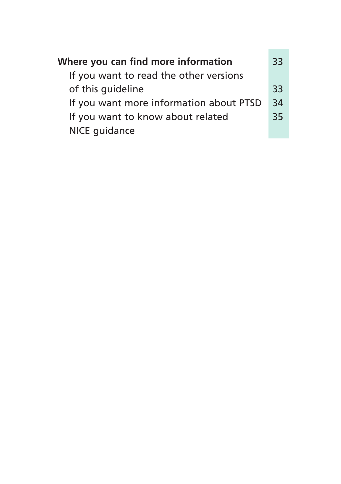| Where you can find more information<br>If you want to read the other versions | 33 |
|-------------------------------------------------------------------------------|----|
| of this quideline                                                             | 33 |
| If you want more information about PTSD                                       | 34 |
| If you want to know about related                                             | 35 |
| NICE quidance                                                                 |    |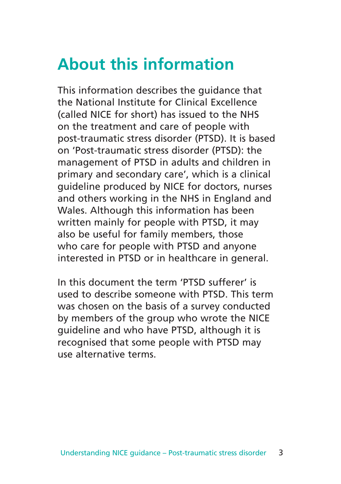## **About this information**

This information describes the guidance that the National Institute for Clinical Excellence (called NICE for short) has issued to the NHS on the treatment and care of people with post-traumatic stress disorder (PTSD). It is based on 'Post-traumatic stress disorder (PTSD): the management of PTSD in adults and children in primary and secondary care', which is a clinical guideline produced by NICE for doctors, nurses and others working in the NHS in England and Wales. Although this information has been written mainly for people with PTSD, it may also be useful for family members, those who care for people with PTSD and anyone interested in PTSD or in healthcare in general.

In this document the term 'PTSD sufferer' is used to describe someone with PTSD. This term was chosen on the basis of a survey conducted by members of the group who wrote the NICE guideline and who have PTSD, although it is recognised that some people with PTSD may use alternative terms.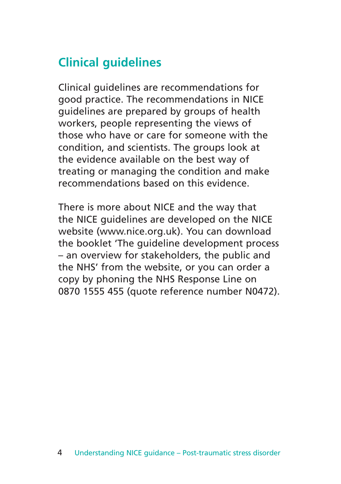## **Clinical guidelines**

Clinical guidelines are recommendations for good practice. The recommendations in NICE guidelines are prepared by groups of health workers, people representing the views of those who have or care for someone with the condition, and scientists. The groups look at the evidence available on the best way of treating or managing the condition and make recommendations based on this evidence.

There is more about NICE and the way that the NICE guidelines are developed on the NICE website (www.nice.org.uk). You can download the booklet 'The guideline development process – an overview for stakeholders, the public and the NHS' from the website, or you can order a copy by phoning the NHS Response Line on 0870 1555 455 (quote reference number N0472).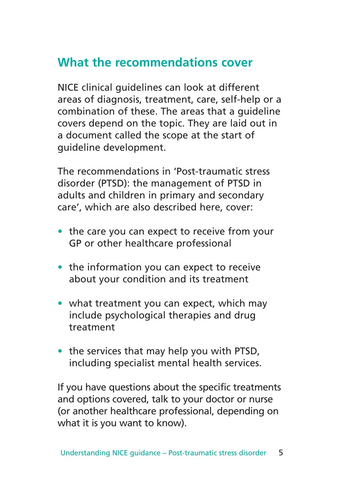## **What the recommendations cover**

NICE clinical guidelines can look at different areas of diagnosis, treatment, care, self-help or a combination of these. The areas that a guideline covers depend on the topic. They are laid out in a document called the scope at the start of guideline development.

The recommendations in 'Post-traumatic stress disorder (PTSD): the management of PTSD in adults and children in primary and secondary care', which are also described here, cover:

- the care you can expect to receive from your GP or other healthcare professional
- the information you can expect to receive about your condition and its treatment
- what treatment you can expect, which may include psychological therapies and drug treatment
- the services that may help you with PTSD, including specialist mental health services.

If you have questions about the specific treatments and options covered, talk to your doctor or nurse (or another healthcare professional, depending on what it is you want to know).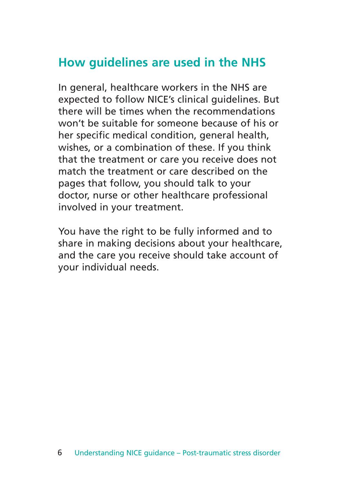### **How guidelines are used in the NHS**

In general, healthcare workers in the NHS are expected to follow NICE's clinical guidelines. But there will be times when the recommendations won't be suitable for someone because of his or her specific medical condition, general health, wishes, or a combination of these. If you think that the treatment or care you receive does not match the treatment or care described on the pages that follow, you should talk to your doctor, nurse or other healthcare professional involved in your treatment.

You have the right to be fully informed and to share in making decisions about your healthcare, and the care you receive should take account of your individual needs.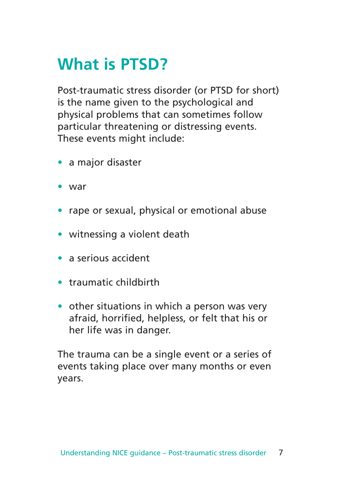# **What is PTSD?**

Post-traumatic stress disorder (or PTSD for short) is the name given to the psychological and physical problems that can sometimes follow particular threatening or distressing events. These events might include:

- a major disaster
- war
- rape or sexual, physical or emotional abuse
- witnessing a violent death
- a serious accident
- traumatic childbirth
- other situations in which a person was very afraid, horrified, helpless, or felt that his or her life was in danger.

The trauma can be a single event or a series of events taking place over many months or even years.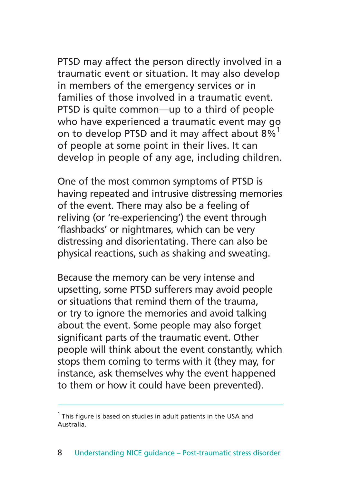PTSD may affect the person directly involved in a traumatic event or situation. It may also develop in members of the emergency services or in families of those involved in a traumatic event. PTSD is quite common—up to a third of people who have experienced a traumatic event may go on to develop PTSD and it may affect about 8%<sup>1</sup> of people at some point in their lives. It can develop in people of any age, including children.

One of the most common symptoms of PTSD is having repeated and intrusive distressing memories of the event. There may also be a feeling of reliving (or 're-experiencing') the event through 'flashbacks' or nightmares, which can be very distressing and disorientating. There can also be physical reactions, such as shaking and sweating.

Because the memory can be very intense and upsetting, some PTSD sufferers may avoid people or situations that remind them of the trauma, or try to ignore the memories and avoid talking about the event. Some people may also forget significant parts of the traumatic event. Other people will think about the event constantly, which stops them coming to terms with it (they may, for instance, ask themselves why the event happened to them or how it could have been prevented).

 $1$  This figure is based on studies in adult patients in the USA and Australia.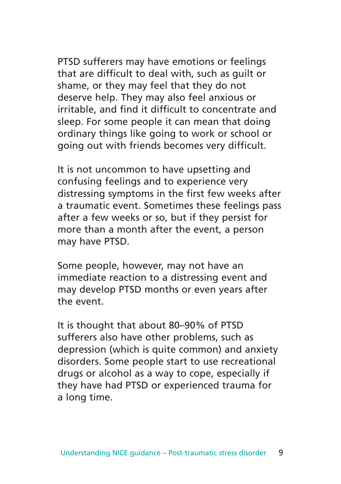PTSD sufferers may have emotions or feelings that are difficult to deal with, such as guilt or shame, or they may feel that they do not deserve help. They may also feel anxious or irritable, and find it difficult to concentrate and sleep. For some people it can mean that doing ordinary things like going to work or school or going out with friends becomes very difficult.

It is not uncommon to have upsetting and confusing feelings and to experience very distressing symptoms in the first few weeks after a traumatic event. Sometimes these feelings pass after a few weeks or so, but if they persist for more than a month after the event, a person may have PTSD.

Some people, however, may not have an immediate reaction to a distressing event and may develop PTSD months or even years after the event.

It is thought that about 80–90% of PTSD sufferers also have other problems, such as depression (which is quite common) and anxiety disorders. Some people start to use recreational drugs or alcohol as a way to cope, especially if they have had PTSD or experienced trauma for a long time.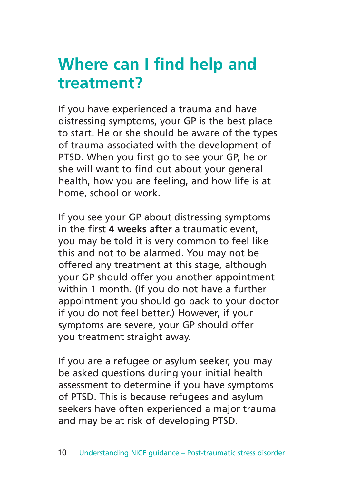## **Where can I find help and treatment?**

If you have experienced a trauma and have distressing symptoms, your GP is the best place to start. He or she should be aware of the types of trauma associated with the development of PTSD. When you first go to see your GP, he or she will want to find out about your general health, how you are feeling, and how life is at home, school or work.

If you see your GP about distressing symptoms in the first **4 weeks after** a traumatic event, you may be told it is very common to feel like this and not to be alarmed. You may not be offered any treatment at this stage, although your GP should offer you another appointment within 1 month. (If you do not have a further appointment you should go back to your doctor if you do not feel better.) However, if your symptoms are severe, your GP should offer you treatment straight away.

If you are a refugee or asylum seeker, you may be asked questions during your initial health assessment to determine if you have symptoms of PTSD. This is because refugees and asylum seekers have often experienced a major trauma and may be at risk of developing PTSD.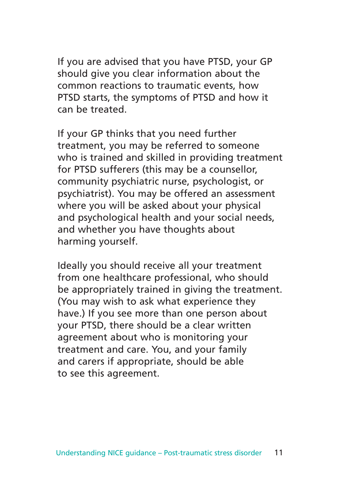If you are advised that you have PTSD, your GP should give you clear information about the common reactions to traumatic events, how PTSD starts, the symptoms of PTSD and how it can be treated.

If your GP thinks that you need further treatment, you may be referred to someone who is trained and skilled in providing treatment for PTSD sufferers (this may be a counsellor, community psychiatric nurse, psychologist, or psychiatrist). You may be offered an assessment where you will be asked about your physical and psychological health and your social needs, and whether you have thoughts about harming yourself.

Ideally you should receive all your treatment from one healthcare professional, who should be appropriately trained in giving the treatment. (You may wish to ask what experience they have.) If you see more than one person about your PTSD, there should be a clear written agreement about who is monitoring your treatment and care. You, and your family and carers if appropriate, should be able to see this agreement.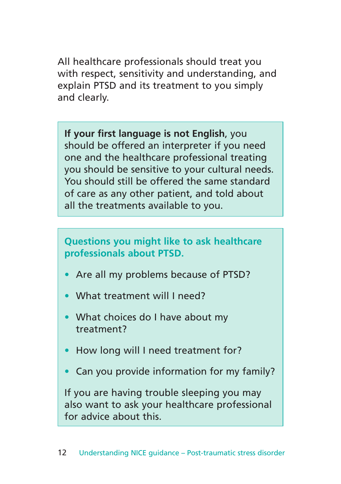All healthcare professionals should treat you with respect, sensitivity and understanding, and explain PTSD and its treatment to you simply and clearly.

**If your first language is not English**, you should be offered an interpreter if you need one and the healthcare professional treating you should be sensitive to your cultural needs. You should still be offered the same standard of care as any other patient, and told about all the treatments available to you.

**Questions you might like to ask healthcare professionals about PTSD.**

- Are all my problems because of PTSD?
- What treatment will I need?
- What choices do I have about my treatment?
- How long will I need treatment for?
- Can you provide information for my family?

If you are having trouble sleeping you may also want to ask your healthcare professional for advice about this.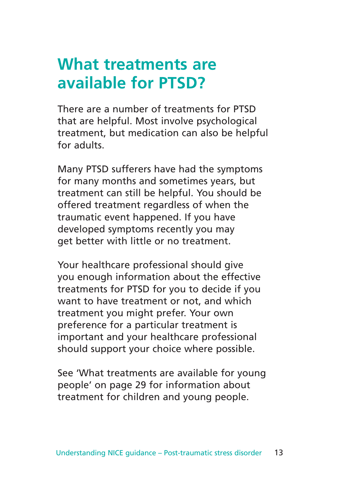## **What treatments are available for PTSD?**

There are a number of treatments for PTSD that are helpful. Most involve psychological treatment, but medication can also be helpful for adults.

Many PTSD sufferers have had the symptoms for many months and sometimes years, but treatment can still be helpful. You should be offered treatment regardless of when the traumatic event happened. If you have developed symptoms recently you may get better with little or no treatment.

Your healthcare professional should give you enough information about the effective treatments for PTSD for you to decide if you want to have treatment or not, and which treatment you might prefer. Your own preference for a particular treatment is important and your healthcare professional should support your choice where possible.

See 'What treatments are available for young people' on page 29 for information about treatment for children and young people.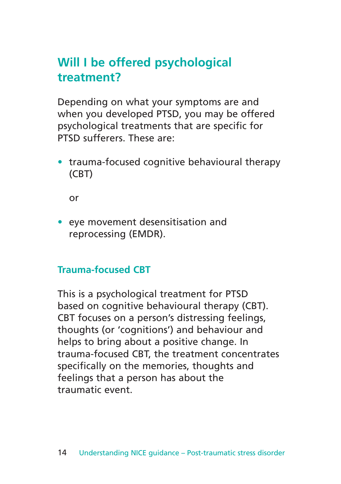## **Will I be offered psychological treatment?**

Depending on what your symptoms are and when you developed PTSD, you may be offered psychological treatments that are specific for PTSD sufferers. These are:

• trauma-focused cognitive behavioural therapy (CBT)

or

• eye movement desensitisation and reprocessing (EMDR).

### **Trauma-focused CBT**

This is a psychological treatment for PTSD based on cognitive behavioural therapy (CBT). CBT focuses on a person's distressing feelings, thoughts (or 'cognitions') and behaviour and helps to bring about a positive change. In trauma-focused CBT, the treatment concentrates specifically on the memories, thoughts and feelings that a person has about the traumatic event.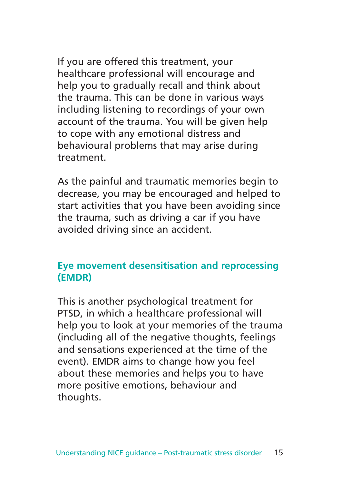If you are offered this treatment, your healthcare professional will encourage and help you to gradually recall and think about the trauma. This can be done in various ways including listening to recordings of your own account of the trauma. You will be given help to cope with any emotional distress and behavioural problems that may arise during treatment.

As the painful and traumatic memories begin to decrease, you may be encouraged and helped to start activities that you have been avoiding since the trauma, such as driving a car if you have avoided driving since an accident.

#### **Eye movement desensitisation and reprocessing (EMDR)**

This is another psychological treatment for PTSD, in which a healthcare professional will help you to look at your memories of the trauma (including all of the negative thoughts, feelings and sensations experienced at the time of the event). EMDR aims to change how you feel about these memories and helps you to have more positive emotions, behaviour and thoughts.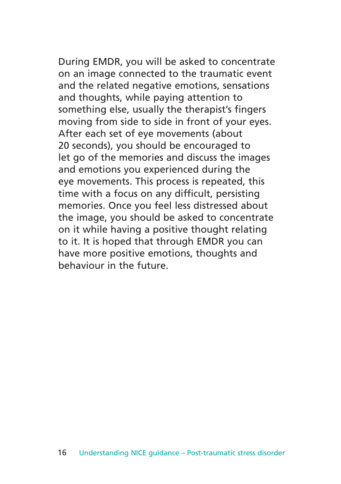During EMDR, you will be asked to concentrate on an image connected to the traumatic event and the related negative emotions, sensations and thoughts, while paying attention to something else, usually the therapist's fingers moving from side to side in front of your eyes. After each set of eye movements (about 20 seconds), you should be encouraged to let go of the memories and discuss the images and emotions you experienced during the eye movements. This process is repeated, this time with a focus on any difficult, persisting memories. Once you feel less distressed about the image, you should be asked to concentrate on it while having a positive thought relating to it. It is hoped that through EMDR you can have more positive emotions, thoughts and behaviour in the future.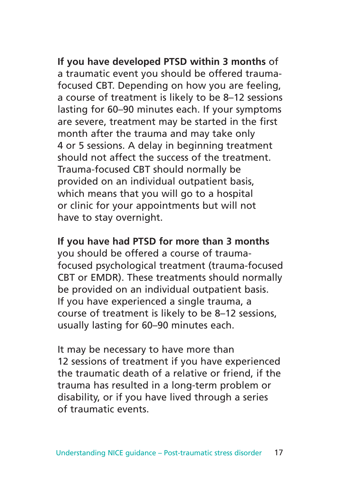**If you have developed PTSD within 3 months** of a traumatic event you should be offered traumafocused CBT. Depending on how you are feeling, a course of treatment is likely to be 8–12 sessions lasting for 60–90 minutes each. If your symptoms are severe, treatment may be started in the first month after the trauma and may take only 4 or 5 sessions. A delay in beginning treatment should not affect the success of the treatment. Trauma-focused CBT should normally be provided on an individual outpatient basis, which means that you will go to a hospital or clinic for your appointments but will not have to stay overnight.

#### **If you have had PTSD for more than 3 months**

you should be offered a course of traumafocused psychological treatment (trauma-focused CBT or EMDR). These treatments should normally be provided on an individual outpatient basis. If you have experienced a single trauma, a course of treatment is likely to be 8–12 sessions, usually lasting for 60–90 minutes each.

It may be necessary to have more than 12 sessions of treatment if you have experienced the traumatic death of a relative or friend, if the trauma has resulted in a long-term problem or disability, or if you have lived through a series of traumatic events.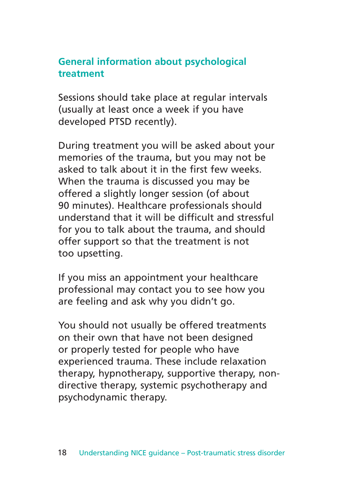#### **General information about psychological treatment**

Sessions should take place at regular intervals (usually at least once a week if you have developed PTSD recently).

During treatment you will be asked about your memories of the trauma, but you may not be asked to talk about it in the first few weeks. When the trauma is discussed you may be offered a slightly longer session (of about 90 minutes). Healthcare professionals should understand that it will be difficult and stressful for you to talk about the trauma, and should offer support so that the treatment is not too upsetting.

If you miss an appointment your healthcare professional may contact you to see how you are feeling and ask why you didn't go.

You should not usually be offered treatments on their own that have not been designed or properly tested for people who have experienced trauma. These include relaxation therapy, hypnotherapy, supportive therapy, nondirective therapy, systemic psychotherapy and psychodynamic therapy.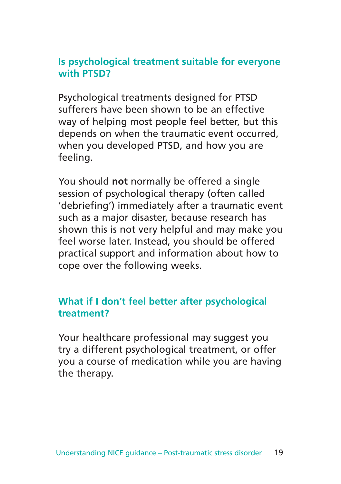#### **Is psychological treatment suitable for everyone with PTSD?**

Psychological treatments designed for PTSD sufferers have been shown to be an effective way of helping most people feel better, but this depends on when the traumatic event occurred, when you developed PTSD, and how you are feeling.

You should **not** normally be offered a single session of psychological therapy (often called 'debriefing') immediately after a traumatic event such as a major disaster, because research has shown this is not very helpful and may make you feel worse later. Instead, you should be offered practical support and information about how to cope over the following weeks.

### **What if I don't feel better after psychological treatment?**

Your healthcare professional may suggest you try a different psychological treatment, or offer you a course of medication while you are having the therapy.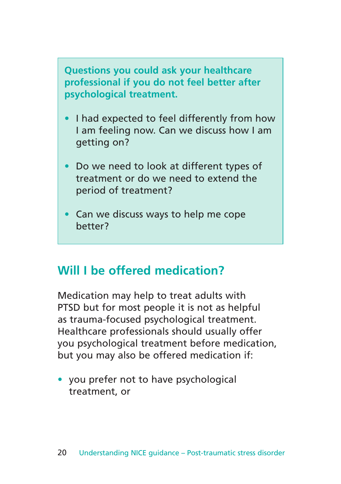**Questions you could ask your healthcare professional if you do not feel better after psychological treatment.**

- I had expected to feel differently from how I am feeling now. Can we discuss how I am getting on?
- Do we need to look at different types of treatment or do we need to extend the period of treatment?
- Can we discuss ways to help me cope better?

## **Will I be offered medication?**

Medication may help to treat adults with PTSD but for most people it is not as helpful as trauma-focused psychological treatment. Healthcare professionals should usually offer you psychological treatment before medication, but you may also be offered medication if:

• you prefer not to have psychological treatment, or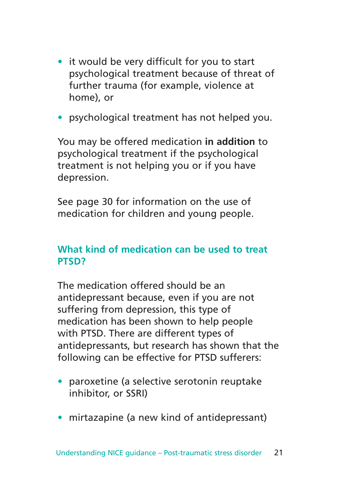- it would be very difficult for you to start psychological treatment because of threat of further trauma (for example, violence at home), or
- psychological treatment has not helped you.

You may be offered medication **in addition** to psychological treatment if the psychological treatment is not helping you or if you have depression.

See page 30 for information on the use of medication for children and young people.

### **What kind of medication can be used to treat PTSD?**

The medication offered should be an antidepressant because, even if you are not suffering from depression, this type of medication has been shown to help people with PTSD. There are different types of antidepressants, but research has shown that the following can be effective for PTSD sufferers:

- paroxetine (a selective serotonin reuptake inhibitor, or SSRI)
- mirtazapine (a new kind of antidepressant)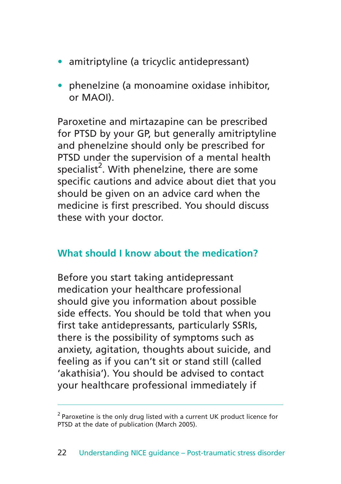- amitriptyline (a tricyclic antidepressant)
- phenelzine (a monoamine oxidase inhibitor, or MAOI).

Paroxetine and mirtazapine can be prescribed for PTSD by your GP, but generally amitriptyline and phenelzine should only be prescribed for PTSD under the supervision of a mental health specialist<sup>2</sup>. With phenelzine, there are some specific cautions and advice about diet that you should be given on an advice card when the medicine is first prescribed. You should discuss these with your doctor.

#### **What should I know about the medication?**

Before you start taking antidepressant medication your healthcare professional should give you information about possible side effects. You should be told that when you first take antidepressants, particularly SSRIs, there is the possibility of symptoms such as anxiety, agitation, thoughts about suicide, and feeling as if you can't sit or stand still (called 'akathisia'). You should be advised to contact your healthcare professional immediately if

<sup>&</sup>lt;sup>2</sup> Paroxetine is the only drug listed with a current UK product licence for PTSD at the date of publication (March 2005).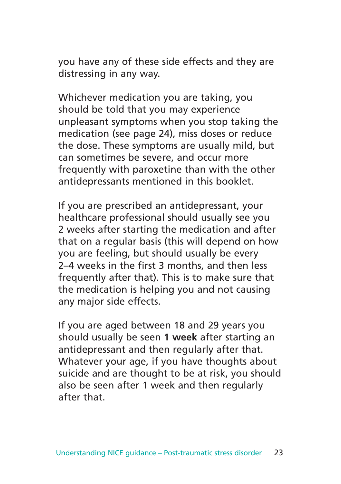you have any of these side effects and they are distressing in any way.

Whichever medication you are taking, you should be told that you may experience unpleasant symptoms when you stop taking the medication (see page 24), miss doses or reduce the dose. These symptoms are usually mild, but can sometimes be severe, and occur more frequently with paroxetine than with the other antidepressants mentioned in this booklet.

If you are prescribed an antidepressant, your healthcare professional should usually see you 2 weeks after starting the medication and after that on a regular basis (this will depend on how you are feeling, but should usually be every 2–4 weeks in the first 3 months, and then less frequently after that). This is to make sure that the medication is helping you and not causing any major side effects.

If you are aged between 18 and 29 years you should usually be seen **1 week** after starting an antidepressant and then regularly after that. Whatever your age, if you have thoughts about suicide and are thought to be at risk, you should also be seen after 1 week and then regularly after that.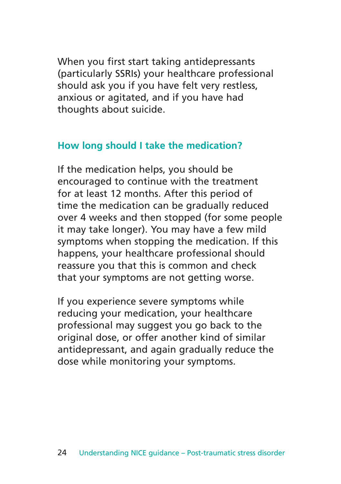When you first start taking antidepressants (particularly SSRIs) your healthcare professional should ask you if you have felt very restless, anxious or agitated, and if you have had thoughts about suicide.

### **How long should I take the medication?**

If the medication helps, you should be encouraged to continue with the treatment for at least 12 months. After this period of time the medication can be gradually reduced over 4 weeks and then stopped (for some people it may take longer). You may have a few mild symptoms when stopping the medication. If this happens, your healthcare professional should reassure you that this is common and check that your symptoms are not getting worse.

If you experience severe symptoms while reducing your medication, your healthcare professional may suggest you go back to the original dose, or offer another kind of similar antidepressant, and again gradually reduce the dose while monitoring your symptoms.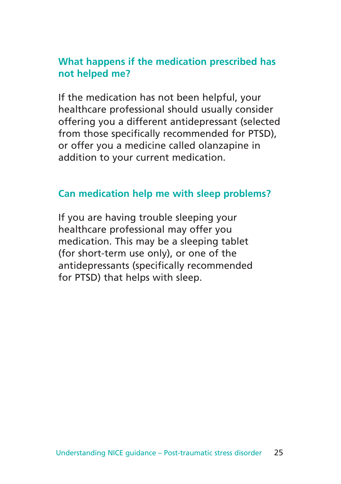#### **What happens if the medication prescribed has not helped me?**

If the medication has not been helpful, your healthcare professional should usually consider offering you a different antidepressant (selected from those specifically recommended for PTSD), or offer you a medicine called olanzapine in addition to your current medication.

#### **Can medication help me with sleep problems?**

If you are having trouble sleeping your healthcare professional may offer you medication. This may be a sleeping tablet (for short-term use only), or one of the antidepressants (specifically recommended for PTSD) that helps with sleep.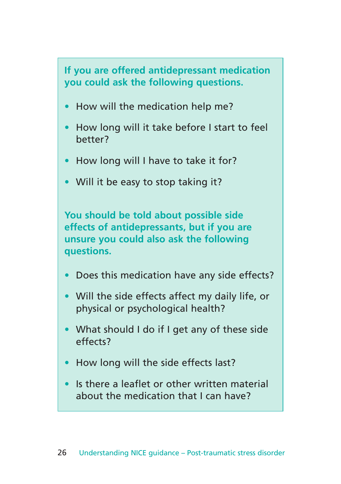**If you are offered antidepressant medication you could ask the following questions.**

- How will the medication help me?
- How long will it take before I start to feel better?
- How long will I have to take it for?
- Will it be easy to stop taking it?

**You should be told about possible side effects of antidepressants, but if you are unsure you could also ask the following questions.**

- Does this medication have any side effects?
- Will the side effects affect my daily life, or physical or psychological health?
- What should I do if I get any of these side effects?
- How long will the side effects last?
- Is there a leaflet or other written material about the medication that I can have?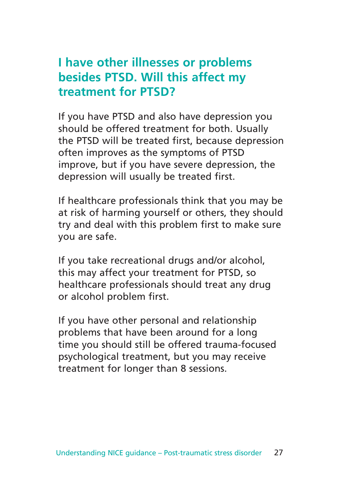### **I have other illnesses or problems besides PTSD. Will this affect my treatment for PTSD?**

If you have PTSD and also have depression you should be offered treatment for both. Usually the PTSD will be treated first, because depression often improves as the symptoms of PTSD improve, but if you have severe depression, the depression will usually be treated first.

If healthcare professionals think that you may be at risk of harming yourself or others, they should try and deal with this problem first to make sure you are safe.

If you take recreational drugs and/or alcohol, this may affect your treatment for PTSD, so healthcare professionals should treat any drug or alcohol problem first.

If you have other personal and relationship problems that have been around for a long time you should still be offered trauma-focused psychological treatment, but you may receive treatment for longer than 8 sessions.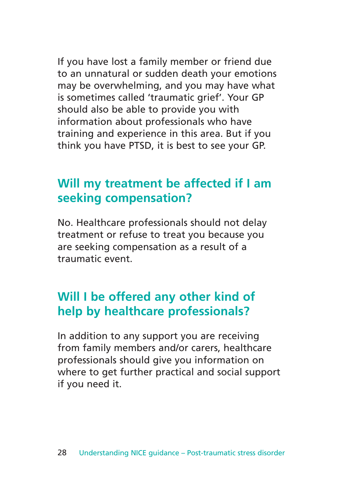If you have lost a family member or friend due to an unnatural or sudden death your emotions may be overwhelming, and you may have what is sometimes called 'traumatic grief'. Your GP should also be able to provide you with information about professionals who have training and experience in this area. But if you think you have PTSD, it is best to see your GP.

### **Will my treatment be affected if I am seeking compensation?**

No. Healthcare professionals should not delay treatment or refuse to treat you because you are seeking compensation as a result of a traumatic event.

## **Will I be offered any other kind of help by healthcare professionals?**

In addition to any support you are receiving from family members and/or carers, healthcare professionals should give you information on where to get further practical and social support if you need it.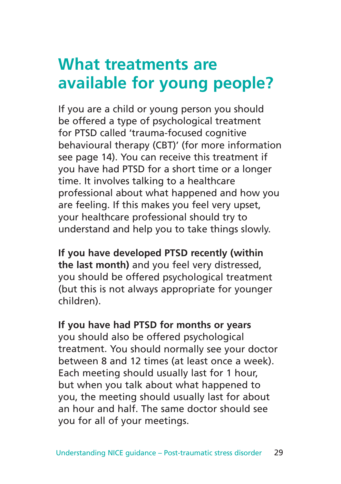## **What treatments are available for young people?**

If you are a child or young person you should be offered a type of psychological treatment for PTSD called 'trauma-focused cognitive behavioural therapy (CBT)' (for more information see page 14). You can receive this treatment if you have had PTSD for a short time or a longer time. It involves talking to a healthcare professional about what happened and how you are feeling. If this makes you feel very upset, your healthcare professional should try to understand and help you to take things slowly.

**If you have developed PTSD recently (within the last month)** and you feel very distressed, you should be offered psychological treatment (but this is not always appropriate for younger children).

#### **If you have had PTSD for months or years**

you should also be offered psychological treatment. You should normally see your doctor between 8 and 12 times (at least once a week). Each meeting should usually last for 1 hour, but when you talk about what happened to you, the meeting should usually last for about an hour and half. The same doctor should see you for all of your meetings.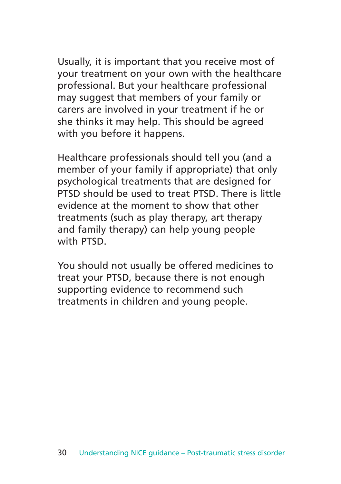Usually, it is important that you receive most of your treatment on your own with the healthcare professional. But your healthcare professional may suggest that members of your family or carers are involved in your treatment if he or she thinks it may help. This should be agreed with you before it happens.

Healthcare professionals should tell you (and a member of your family if appropriate) that only psychological treatments that are designed for PTSD should be used to treat PTSD. There is little evidence at the moment to show that other treatments (such as play therapy, art therapy and family therapy) can help young people with PTSD.

You should not usually be offered medicines to treat your PTSD, because there is not enough supporting evidence to recommend such treatments in children and young people.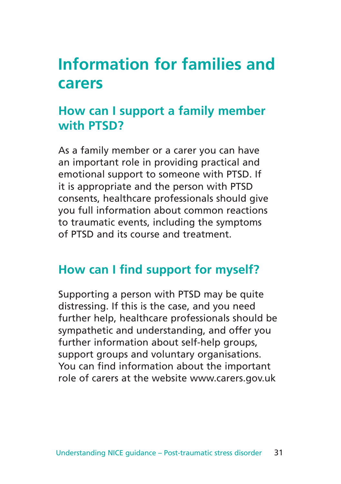## **Information for families and carers**

## **How can I support a family member with PTSD?**

As a family member or a carer you can have an important role in providing practical and emotional support to someone with PTSD. If it is appropriate and the person with PTSD consents, healthcare professionals should give you full information about common reactions to traumatic events, including the symptoms of PTSD and its course and treatment.

### **How can I find support for myself?**

Supporting a person with PTSD may be quite distressing. If this is the case, and you need further help, healthcare professionals should be sympathetic and understanding, and offer you further information about self-help groups, support groups and voluntary organisations. You can find information about the important role of carers at the website www.carers.gov.uk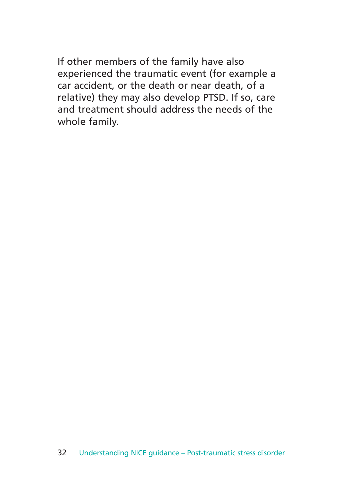If other members of the family have also experienced the traumatic event (for example a car accident, or the death or near death, of a relative) they may also develop PTSD. If so, care and treatment should address the needs of the whole family.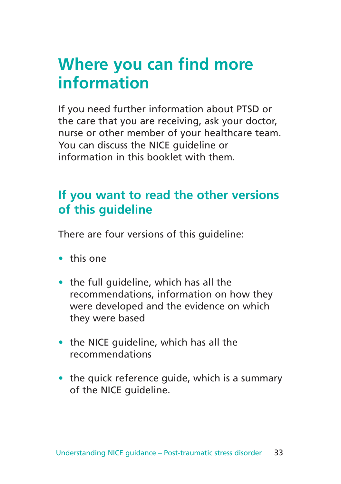## **Where you can find more information**

If you need further information about PTSD or the care that you are receiving, ask your doctor, nurse or other member of your healthcare team. You can discuss the NICE quideline or information in this booklet with them.

## **If you want to read the other versions of this guideline**

There are four versions of this guideline:

- this one
- the full guideline, which has all the recommendations, information on how they were developed and the evidence on which they were based
- the NICE guideline, which has all the recommendations
- the quick reference quide, which is a summary of the NICE guideline.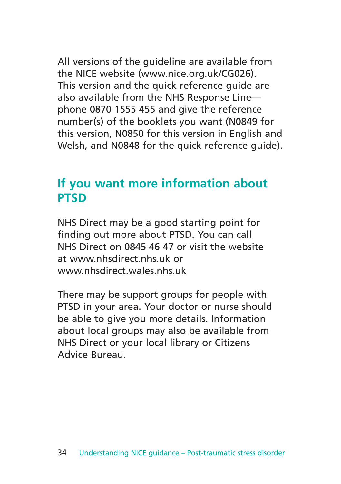All versions of the guideline are available from the NICE website (www.nice.org.uk/CG026). This version and the quick reference guide are also available from the NHS Response Line phone 0870 1555 455 and give the reference number(s) of the booklets you want (N0849 for this version, N0850 for this version in English and Welsh, and N0848 for the quick reference guide).

### **If you want more information about PTSD**

NHS Direct may be a good starting point for finding out more about PTSD. You can call NHS Direct on 0845 46 47 or visit the website at www.nhsdirect.nhs.uk or www.nhsdirect.wales.nhs.uk

There may be support groups for people with PTSD in your area. Your doctor or nurse should be able to give you more details. Information about local groups may also be available from NHS Direct or your local library or Citizens Advice Bureau.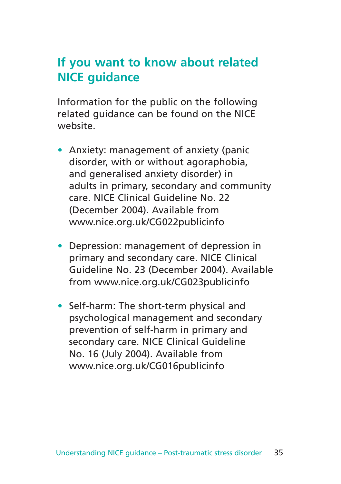### **If you want to know about related NICE guidance**

Information for the public on the following related guidance can be found on the NICE website.

- Anxiety: management of anxiety (panic disorder, with or without agoraphobia, and generalised anxiety disorder) in adults in primary, secondary and community care. NICE Clinical Guideline No. 22 (December 2004). Available from www.nice.org.uk/CG022publicinfo
- Depression: management of depression in primary and secondary care. NICE Clinical Guideline No. 23 (December 2004). Available from www.nice.org.uk/CG023publicinfo
- Self-harm: The short-term physical and psychological management and secondary prevention of self-harm in primary and secondary care. NICE Clinical Guideline No. 16 (July 2004). Available from www.nice.org.uk/CG016publicinfo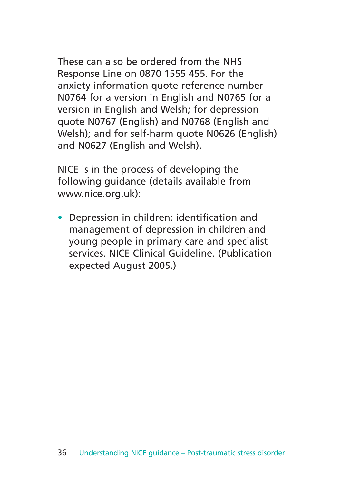These can also be ordered from the NHS Response Line on 0870 1555 455. For the anxiety information quote reference number N0764 for a version in English and N0765 for a version in English and Welsh; for depression quote N0767 (English) and N0768 (English and Welsh); and for self-harm quote N0626 (English) and N0627 (English and Welsh).

NICE is in the process of developing the following guidance (details available from www.nice.org.uk):

• Depression in children: identification and management of depression in children and young people in primary care and specialist services. NICE Clinical Guideline. (Publication expected August 2005.)